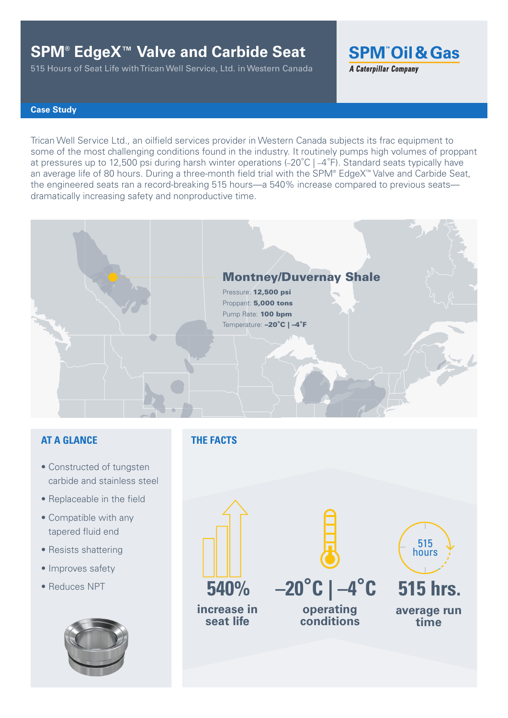# **SPM® EdgeX™ Valve and Carbide Seat**

515 Hours of Seat Life with Trican Well Service, Ltd. in Western Canada

**SPM Oil & Gas** 

**A Caterpillar Company** 

### **Case Study**

Trican Well Service Ltd., an oilfield services provider in Western Canada subjects its frac equipment to some of the most challenging conditions found in the industry. It routinely pumps high volumes of proppant at pressures up to 12,500 psi during harsh winter operations (–20°C | –4°F). Standard seats typically have an average life of 80 hours. During a three-month field trial with the SPM® EdgeX™ Valve and Carbide Seat, the engineered seats ran a record-breaking 515 hours—a 540% increase compared to previous seats dramatically increasing safety and nonproductive time.



### **AT A GLANCE**

- Constructed of tungsten carbide and stainless steel
- Replaceable in the field
- Compatible with any tapered fluid end
- Resists shattering
- Improves safety
- Reduces NPT



### **THE FACTS**